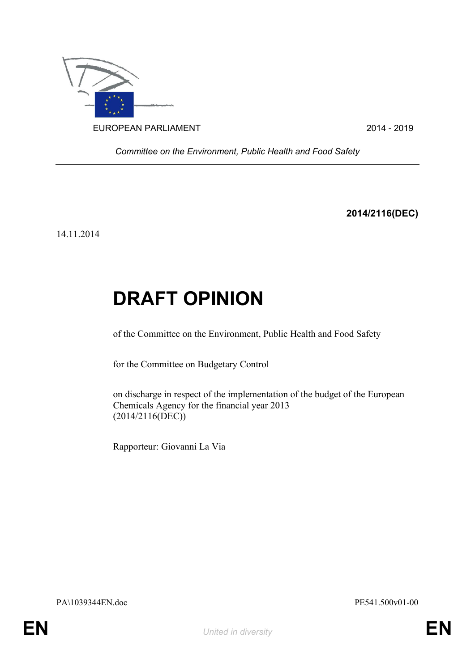

*Committee on the Environment, Public Health and Food Safety*

**2014/2116(DEC)**

14.11.2014

## **DRAFT OPINION**

of the Committee on the Environment, Public Health and Food Safety

for the Committee on Budgetary Control

on discharge in respect of the implementation of the budget of the European Chemicals Agency for the financial year 2013 (2014/2116(DEC))

Rapporteur: Giovanni La Via

<span id="page-0-1"></span>PA\1039344EN.doc PE541.500v01-00

<span id="page-0-0"></span>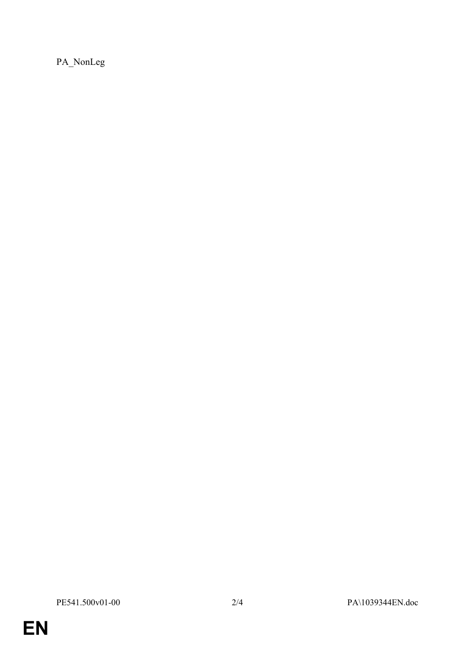PA\_NonLeg

**EN**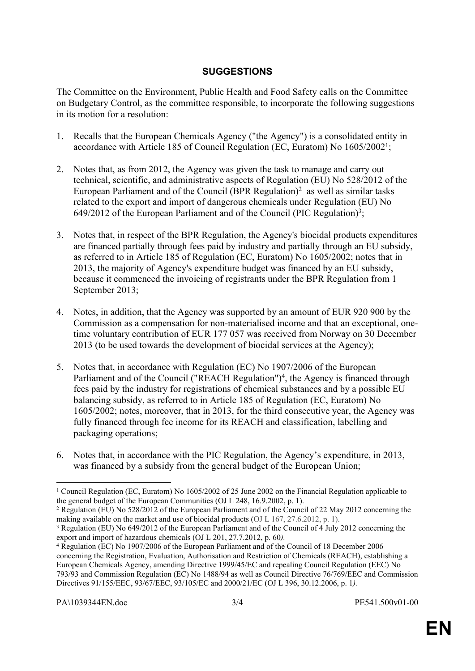## **SUGGESTIONS**

The Committee on the Environment, Public Health and Food Safety calls on the Committee on Budgetary Control, as the committee responsible, to incorporate the following suggestions in its motion for a resolution:

- 1. Recalls that the European Chemicals Agency ("the Agency") is a consolidated entity in accordance with Article 185 of Council Regulation (EC, Euratom) No 1605/2002<sup>1</sup> ;
- 2. Notes that, as from 2012, the Agency was given the task to manage and carry out technical, scientific, and administrative aspects of Regulation (EU) No 528/2012 of the European Parliament and of the Council (BPR Regulation)<sup>2</sup> as well as similar tasks related to the export and import of dangerous chemicals under Regulation (EU) No 649/2012 of the European Parliament and of the Council (PIC Regulation)<sup>3</sup>;
- 3. Notes that, in respect of the BPR Regulation, the Agency's biocidal products expenditures are financed partially through fees paid by industry and partially through an EU subsidy, as referred to in Article 185 of Regulation (EC, Euratom) No 1605/2002; notes that in 2013, the majority of Agency's expenditure budget was financed by an EU subsidy, because it commenced the invoicing of registrants under the BPR Regulation from 1 September 2013;
- 4. Notes, in addition, that the Agency was supported by an amount of EUR 920 900 by the Commission as a compensation for non-materialised income and that an exceptional, onetime voluntary contribution of EUR 177 057 was received from Norway on 30 December 2013 (to be used towards the development of biocidal services at the Agency);
- 5. Notes that, in accordance with Regulation (EC) No 1907/2006 of the European Parliament and of the Council ("REACH Regulation")<sup>4</sup>, the Agency is financed through fees paid by the industry for registrations of chemical substances and by a possible EU balancing subsidy, as referred to in Article 185 of Regulation (EC, Euratom) No 1605/2002; notes, moreover, that in 2013, for the third consecutive year, the Agency was fully financed through fee income for its REACH and classification, labelling and packaging operations;
- 6. Notes that, in accordance with the PIC Regulation, the Agency's expenditure, in 2013, was financed by a subsidy from the general budget of the European Union;

<sup>&</sup>lt;sup>1</sup> Council Regulation (EC, Euratom) No 1605/2002 of 25 June 2002 on the Financial Regulation applicable to the general budget of the European Communities (OJ L 248, 16.9.2002, p. 1).

<sup>&</sup>lt;sup>2</sup> Regulation (EU) No 528/2012 of the European Parliament and of the Council of 22 May 2012 concerning the making available on the market and use of biocidal products (OJ L 167, 27.6.2012, p. 1).

<sup>&</sup>lt;sup>3</sup> Regulation (EU) No 649/2012 of the European Parliament and of the Council of 4 July 2012 concerning the export and import of hazardous chemicals (OJ L 201, 27.7.2012, p. 60*).* 

<sup>4</sup> Regulation (EC) No 1907/2006 of the European Parliament and of the Council of 18 December 2006 concerning the Registration, Evaluation, Authorisation and Restriction of Chemicals (REACH), establishing a European Chemicals Agency, amending Directive 1999/45/EC and repealing Council Regulation (EEC) No 793/93 and Commission Regulation (EC) No 1488/94 as well as Council Directive 76/769/EEC and Commission Directives 91/155/EEC, 93/67/EEC, 93/105/EC and 2000/21/EC (OJ L 396, 30.12.2006, p. 1*).*